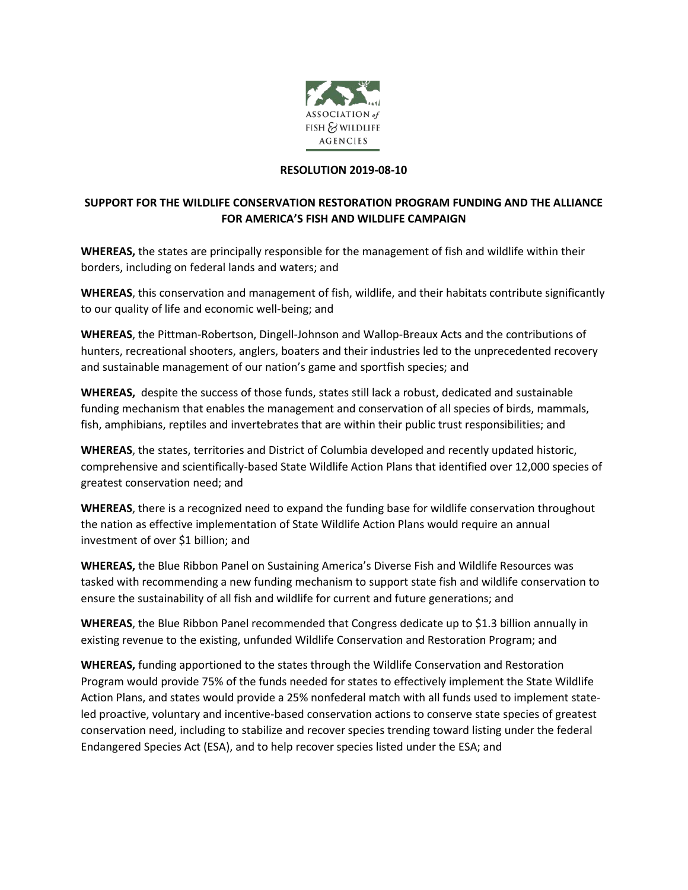

## **RESOLUTION 2019-08-10**

## **SUPPORT FOR THE WILDLIFE CONSERVATION RESTORATION PROGRAM FUNDING AND THE ALLIANCE FOR AMERICA'S FISH AND WILDLIFE CAMPAIGN**

**WHEREAS,** the states are principally responsible for the management of fish and wildlife within their borders, including on federal lands and waters; and

**WHEREAS**, this conservation and management of fish, wildlife, and their habitats contribute significantly to our quality of life and economic well-being; and

**WHEREAS**, the Pittman-Robertson, Dingell-Johnson and Wallop-Breaux Acts and the contributions of hunters, recreational shooters, anglers, boaters and their industries led to the unprecedented recovery and sustainable management of our nation's game and sportfish species; and

**WHEREAS,** despite the success of those funds, states still lack a robust, dedicated and sustainable funding mechanism that enables the management and conservation of all species of birds, mammals, fish, amphibians, reptiles and invertebrates that are within their public trust responsibilities; and

**WHEREAS**, the states, territories and District of Columbia developed and recently updated historic, comprehensive and scientifically-based State Wildlife Action Plans that identified over 12,000 species of greatest conservation need; and

**WHEREAS**, there is a recognized need to expand the funding base for wildlife conservation throughout the nation as effective implementation of State Wildlife Action Plans would require an annual investment of over \$1 billion; and

**WHEREAS,** the Blue Ribbon Panel on Sustaining America's Diverse Fish and Wildlife Resources was tasked with recommending a new funding mechanism to support state fish and wildlife conservation to ensure the sustainability of all fish and wildlife for current and future generations; and

**WHEREAS**, the Blue Ribbon Panel recommended that Congress dedicate up to \$1.3 billion annually in existing revenue to the existing, unfunded Wildlife Conservation and Restoration Program; and

**WHEREAS,** funding apportioned to the states through the Wildlife Conservation and Restoration Program would provide 75% of the funds needed for states to effectively implement the State Wildlife Action Plans, and states would provide a 25% nonfederal match with all funds used to implement stateled proactive, voluntary and incentive-based conservation actions to conserve state species of greatest conservation need, including to stabilize and recover species trending toward listing under the federal Endangered Species Act (ESA), and to help recover species listed under the ESA; and